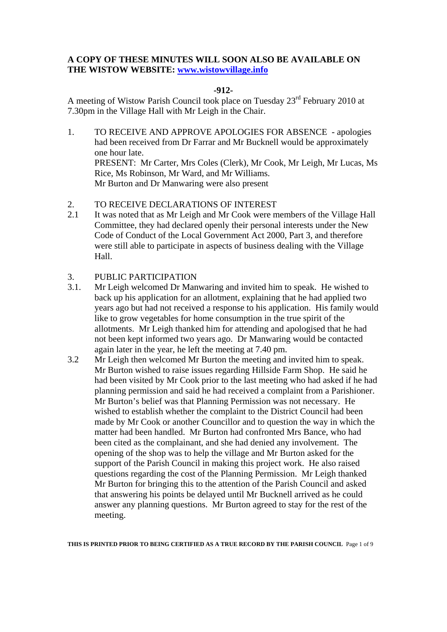# **A COPY OF THESE MINUTES WILL SOON ALSO BE AVAILABLE ON THE WISTOW WEBSITE: www.wistowvillage.info**

# **-912-**

A meeting of Wistow Parish Council took place on Tuesday 23rd February 2010 at 7.30pm in the Village Hall with Mr Leigh in the Chair.

- 1. TO RECEIVE AND APPROVE APOLOGIES FOR ABSENCE apologies had been received from Dr Farrar and Mr Bucknell would be approximately one hour late. PRESENT: Mr Carter, Mrs Coles (Clerk), Mr Cook, Mr Leigh, Mr Lucas, Ms Rice, Ms Robinson, Mr Ward, and Mr Williams. Mr Burton and Dr Manwaring were also present
- 2. TO RECEIVE DECLARATIONS OF INTEREST
- 2.1 It was noted that as Mr Leigh and Mr Cook were members of the Village Hall Committee, they had declared openly their personal interests under the New Code of Conduct of the Local Government Act 2000, Part 3, and therefore were still able to participate in aspects of business dealing with the Village Hall.

# 3. PUBLIC PARTICIPATION

- 3.1. Mr Leigh welcomed Dr Manwaring and invited him to speak. He wished to back up his application for an allotment, explaining that he had applied two years ago but had not received a response to his application. His family would like to grow vegetables for home consumption in the true spirit of the allotments. Mr Leigh thanked him for attending and apologised that he had not been kept informed two years ago. Dr Manwaring would be contacted again later in the year, he left the meeting at 7.40 pm.
- 3.2 Mr Leigh then welcomed Mr Burton the meeting and invited him to speak. Mr Burton wished to raise issues regarding Hillside Farm Shop. He said he had been visited by Mr Cook prior to the last meeting who had asked if he had planning permission and said he had received a complaint from a Parishioner. Mr Burton's belief was that Planning Permission was not necessary. He wished to establish whether the complaint to the District Council had been made by Mr Cook or another Councillor and to question the way in which the matter had been handled. Mr Burton had confronted Mrs Bance, who had been cited as the complainant, and she had denied any involvement. The opening of the shop was to help the village and Mr Burton asked for the support of the Parish Council in making this project work. He also raised questions regarding the cost of the Planning Permission. Mr Leigh thanked Mr Burton for bringing this to the attention of the Parish Council and asked that answering his points be delayed until Mr Bucknell arrived as he could answer any planning questions. Mr Burton agreed to stay for the rest of the meeting.

**THIS IS PRINTED PRIOR TO BEING CERTIFIED AS A TRUE RECORD BY THE PARISH COUNCIL** Page 1 of 9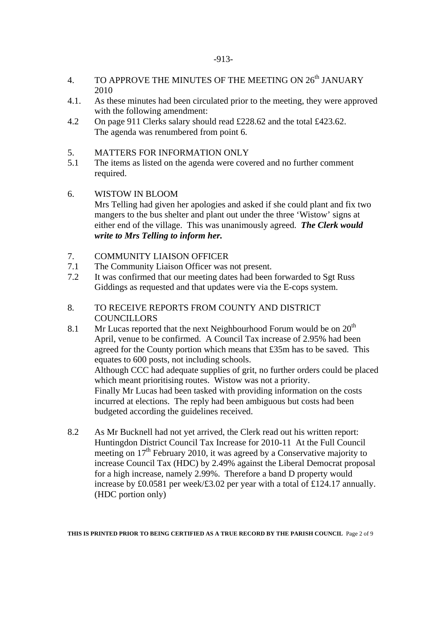- 4. TO APPROVE THE MINUTES OF THE MEETING ON  $26^{th}$  JANUARY 2010
- 4.1. As these minutes had been circulated prior to the meeting, they were approved with the following amendment:
- 4.2 On page 911 Clerks salary should read £228.62 and the total £423.62. The agenda was renumbered from point 6.
- 5. MATTERS FOR INFORMATION ONLY
- 5.1 The items as listed on the agenda were covered and no further comment required.
- 6. WISTOW IN BLOOM Mrs Telling had given her apologies and asked if she could plant and fix two mangers to the bus shelter and plant out under the three 'Wistow' signs at either end of the village. This was unanimously agreed. *The Clerk would write to Mrs Telling to inform her.*

# 7. COMMUNITY LIAISON OFFICER

- 7.1 The Community Liaison Officer was not present.
- 7.2 It was confirmed that our meeting dates had been forwarded to Sgt Russ Giddings as requested and that updates were via the E-cops system.
- 8. TO RECEIVE REPORTS FROM COUNTY AND DISTRICT **COUNCILLORS**
- 8.1 Mr Lucas reported that the next Neighbourhood Forum would be on  $20<sup>th</sup>$ April, venue to be confirmed. A Council Tax increase of 2.95% had been agreed for the County portion which means that £35m has to be saved. This equates to 600 posts, not including schools. Although CCC had adequate supplies of grit, no further orders could be placed which meant prioritising routes. Wistow was not a priority. Finally Mr Lucas had been tasked with providing information on the costs incurred at elections. The reply had been ambiguous but costs had been budgeted according the guidelines received.
- 8.2 As Mr Bucknell had not yet arrived, the Clerk read out his written report: Huntingdon District Council Tax Increase for 2010-11 At the Full Council meeting on  $17<sup>th</sup>$  February 2010, it was agreed by a Conservative majority to increase Council Tax (HDC) by 2.49% against the Liberal Democrat proposal for a high increase, namely 2.99%. Therefore a band D property would increase by £0.0581 per week/£3.02 per year with a total of £124.17 annually. (HDC portion only)

**THIS IS PRINTED PRIOR TO BEING CERTIFIED AS A TRUE RECORD BY THE PARISH COUNCIL** Page 2 of 9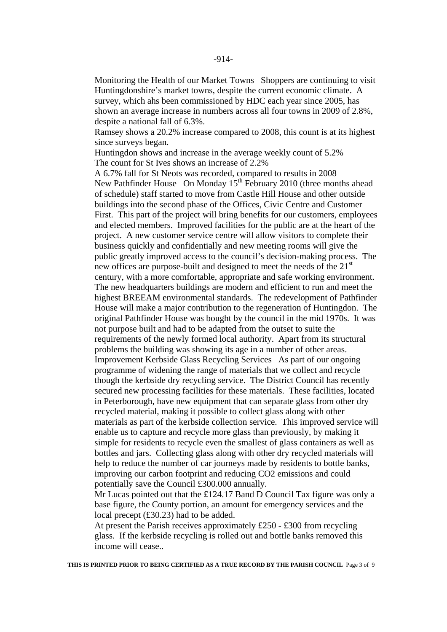Monitoring the Health of our Market Towns Shoppers are continuing to visit Huntingdonshire's market towns, despite the current economic climate. A survey, which ahs been commissioned by HDC each year since 2005, has shown an average increase in numbers across all four towns in 2009 of 2.8%, despite a national fall of 6.3%.

 Ramsey shows a 20.2% increase compared to 2008, this count is at its highest since surveys began.

 Huntingdon shows and increase in the average weekly count of 5.2% The count for St Ives shows an increase of 2.2%

 A 6.7% fall for St Neots was recorded, compared to results in 2008 New Pathfinder House On Monday 15<sup>th</sup> February 2010 (three months ahead of schedule) staff started to move from Castle Hill House and other outside buildings into the second phase of the Offices, Civic Centre and Customer First. This part of the project will bring benefits for our customers, employees and elected members. Improved facilities for the public are at the heart of the project. A new customer service centre will allow visitors to complete their business quickly and confidentially and new meeting rooms will give the public greatly improved access to the council's decision-making process. The new offices are purpose-built and designed to meet the needs of the 21<sup>st</sup> century, with a more comfortable, appropriate and safe working environment. The new headquarters buildings are modern and efficient to run and meet the highest BREEAM environmental standards. The redevelopment of Pathfinder House will make a major contribution to the regeneration of Huntingdon. The original Pathfinder House was bought by the council in the mid 1970s. It was not purpose built and had to be adapted from the outset to suite the requirements of the newly formed local authority. Apart from its structural problems the building was showing its age in a number of other areas. Improvement Kerbside Glass Recycling Services As part of our ongoing programme of widening the range of materials that we collect and recycle though the kerbside dry recycling service. The District Council has recently secured new processing facilities for these materials. These facilities, located in Peterborough, have new equipment that can separate glass from other dry recycled material, making it possible to collect glass along with other materials as part of the kerbside collection service. This improved service will enable us to capture and recycle more glass than previously, by making it simple for residents to recycle even the smallest of glass containers as well as bottles and jars. Collecting glass along with other dry recycled materials will help to reduce the number of car journeys made by residents to bottle banks, improving our carbon footprint and reducing CO2 emissions and could potentially save the Council £300.000 annually.

 Mr Lucas pointed out that the £124.17 Band D Council Tax figure was only a base figure, the County portion, an amount for emergency services and the local precept (£30.23) had to be added.

 At present the Parish receives approximately £250 - £300 from recycling glass. If the kerbside recycling is rolled out and bottle banks removed this income will cease..

**THIS IS PRINTED PRIOR TO BEING CERTIFIED AS A TRUE RECORD BY THE PARISH COUNCIL** Page 3 of 9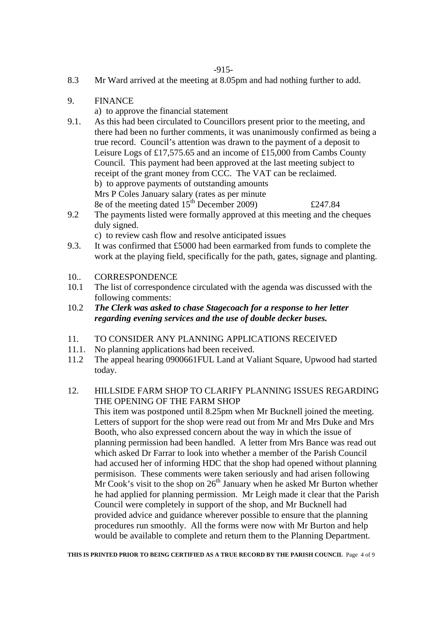- 8.3 Mr Ward arrived at the meeting at 8.05pm and had nothing further to add.
- 9. FINANCE
	- a) to approve the financial statement
- 9.1. As this had been circulated to Councillors present prior to the meeting, and there had been no further comments, it was unanimously confirmed as being a true record. Council's attention was drawn to the payment of a deposit to Leisure Logs of £17,575.65 and an income of £15,000 from Cambs County Council. This payment had been approved at the last meeting subject to receipt of the grant money from CCC. The VAT can be reclaimed. b) to approve payments of outstanding amounts Mrs P Coles January salary (rates as per minute 8e of the meeting dated  $15^{th}$  December 2009)  $\pounds 247.84$
- 9.2 The payments listed were formally approved at this meeting and the cheques duly signed.

c) to review cash flow and resolve anticipated issues

- 9.3. It was confirmed that £5000 had been earmarked from funds to complete the work at the playing field, specifically for the path, gates, signage and planting.
- 10. CORRESPONDENCE
- 10.1 The list of correspondence circulated with the agenda was discussed with the following comments:
- 10.2 *The Clerk was asked to chase Stagecoach for a response to her letter regarding evening services and the use of double decker buses.*
- 11. TO CONSIDER ANY PLANNING APPLICATIONS RECEIVED
- 11.1. No planning applications had been received.<br>11.2 The anneal hearing 0900661FUL Land at Va
- The appeal hearing 0900661FUL Land at Valiant Square, Upwood had started today.
- 12. HILLSIDE FARM SHOP TO CLARIFY PLANNING ISSUES REGARDING THE OPENING OF THE FARM SHOP

 This item was postponed until 8.25pm when Mr Bucknell joined the meeting. Letters of support for the shop were read out from Mr and Mrs Duke and Mrs Booth, who also expressed concern about the way in which the issue of planning permission had been handled. A letter from Mrs Bance was read out which asked Dr Farrar to look into whether a member of the Parish Council had accused her of informing HDC that the shop had opened without planning permisison. These comments were taken seriously and had arisen following Mr Cook's visit to the shop on  $26<sup>th</sup>$  January when he asked Mr Burton whether he had applied for planning permission. Mr Leigh made it clear that the Parish Council were completely in support of the shop, and Mr Bucknell had provided advice and guidance wherever possible to ensure that the planning procedures run smoothly. All the forms were now with Mr Burton and help would be available to complete and return them to the Planning Department.

**THIS IS PRINTED PRIOR TO BEING CERTIFIED AS A TRUE RECORD BY THE PARISH COUNCIL** Page 4 of 9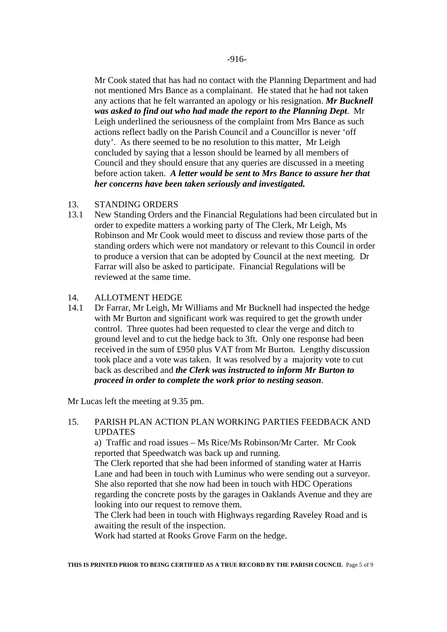Mr Cook stated that has had no contact with the Planning Department and had not mentioned Mrs Bance as a complainant. He stated that he had not taken any actions that he felt warranted an apology or his resignation. *Mr Bucknell was asked to find out who had made the report to the Planning Dept*. Mr Leigh underlined the seriousness of the complaint from Mrs Bance as such actions reflect badly on the Parish Council and a Councillor is never 'off duty'. As there seemed to be no resolution to this matter, Mr Leigh concluded by saying that a lesson should be learned by all members of Council and they should ensure that any queries are discussed in a meeting before action taken. *A letter would be sent to Mrs Bance to assure her that her concerns have been taken seriously and investigated.*

#### 13. STANDING ORDERS

13.1 New Standing Orders and the Financial Regulations had been circulated but in order to expedite matters a working party of The Clerk, Mr Leigh, Ms Robinson and Mr Cook would meet to discuss and review those parts of the standing orders which were not mandatory or relevant to this Council in order to produce a version that can be adopted by Council at the next meeting. Dr Farrar will also be asked to participate. Financial Regulations will be reviewed at the same time.

#### 14. ALLOTMENT HEDGE

14.1 Dr Farrar, Mr Leigh, Mr Williams and Mr Bucknell had inspected the hedge with Mr Burton and significant work was required to get the growth under control. Three quotes had been requested to clear the verge and ditch to ground level and to cut the hedge back to 3ft. Only one response had been received in the sum of £950 plus VAT from Mr Burton. Lengthy discussion took place and a vote was taken. It was resolved by a majority vote to cut back as described and *the Clerk was instructed to inform Mr Burton to proceed in order to complete the work prior to nesting season*.

Mr Lucas left the meeting at 9.35 pm.

# 15. PARISH PLAN ACTION PLAN WORKING PARTIES FEEDBACK AND **UPDATES**

 a) Traffic and road issues – Ms Rice/Ms Robinson/Mr Carter. Mr Cook reported that Speedwatch was back up and running.

 The Clerk reported that she had been informed of standing water at Harris Lane and had been in touch with Luminus who were sending out a surveyor. She also reported that she now had been in touch with HDC Operations regarding the concrete posts by the garages in Oaklands Avenue and they are looking into our request to remove them.

 The Clerk had been in touch with Highways regarding Raveley Road and is awaiting the result of the inspection.

Work had started at Rooks Grove Farm on the hedge.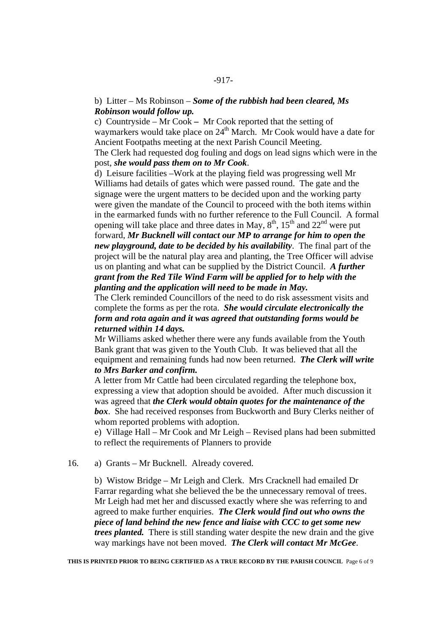#### -917-

# b) Litter – Ms Robinson – *Some of the rubbish had been cleared, Ms Robinson would follow up.*

c) Countryside – Mr Cook *–* Mr Cook reported that the setting of waymarkers would take place on 24<sup>th</sup> March. Mr Cook would have a date for Ancient Footpaths meeting at the next Parish Council Meeting. The Clerk had requested dog fouling and dogs on lead signs which were in the

# post, *she would pass them on to Mr Cook*.

d) Leisure facilities –Work at the playing field was progressing well Mr Williams had details of gates which were passed round. The gate and the signage were the urgent matters to be decided upon and the working party were given the mandate of the Council to proceed with the both items within in the earmarked funds with no further reference to the Full Council. A formal opening will take place and three dates in May,  $8<sup>th</sup>$ ,  $15<sup>th</sup>$  and  $22<sup>nd</sup>$  were put forward, *Mr Bucknell will contact our MP to arrange for him to open the new playground, date to be decided by his availability*. The final part of the project will be the natural play area and planting, the Tree Officer will advise us on planting and what can be supplied by the District Council. *A further grant from the Red Tile Wind Farm will be applied for to help with the* 

#### *planting and the application will need to be made in May.*

The Clerk reminded Councillors of the need to do risk assessment visits and complete the forms as per the rota. *She would circulate electronically the form and rota again and it was agreed that outstanding forms would be returned within 14 days.* 

Mr Williams asked whether there were any funds available from the Youth Bank grant that was given to the Youth Club. It was believed that all the equipment and remaining funds had now been returned. *The Clerk will write to Mrs Barker and confirm.* 

A letter from Mr Cattle had been circulated regarding the telephone box, expressing a view that adoption should be avoided. After much discussion it was agreed that *the Clerk would obtain quotes for the maintenance of the box*. She had received responses from Buckworth and Bury Clerks neither of whom reported problems with adoption.

e) Village Hall – Mr Cook and Mr Leigh – Revised plans had been submitted to reflect the requirements of Planners to provide

16. a) Grants – Mr Bucknell. Already covered.

b) Wistow Bridge – Mr Leigh and Clerk. Mrs Cracknell had emailed Dr Farrar regarding what she believed the be the unnecessary removal of trees. Mr Leigh had met her and discussed exactly where she was referring to and agreed to make further enquiries. *The Clerk would find out who owns the piece of land behind the new fence and liaise with CCC to get some new trees planted.* There is still standing water despite the new drain and the give way markings have not been moved. *The Clerk will contact Mr McGee*.

**THIS IS PRINTED PRIOR TO BEING CERTIFIED AS A TRUE RECORD BY THE PARISH COUNCIL** Page 6 of 9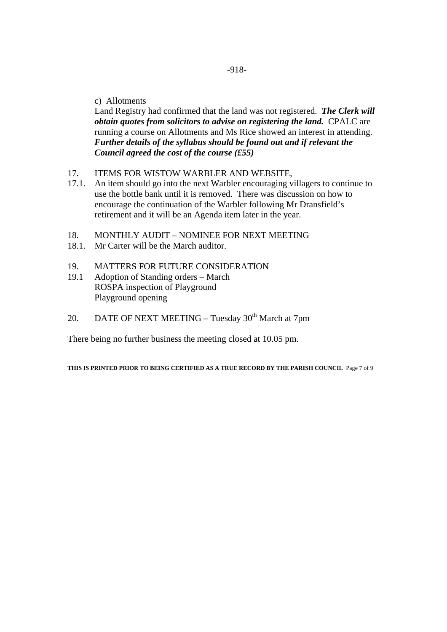#### c) Allotments

Land Registry had confirmed that the land was not registered. *The Clerk will obtain quotes from solicitors to advise on registering the land.* CPALC are running a course on Allotments and Ms Rice showed an interest in attending. *Further details of the syllabus should be found out and if relevant the Council agreed the cost of the course (£55)* 

#### 17. ITEMS FOR WISTOW WARBLER AND WEBSITE,

- 17.1. An item should go into the next Warbler encouraging villagers to continue to use the bottle bank until it is removed. There was discussion on how to encourage the continuation of the Warbler following Mr Dransfield's retirement and it will be an Agenda item later in the year.
- 18. MONTHLY AUDIT NOMINEE FOR NEXT MEETING
- 18.1. Mr Carter will be the March auditor.
- 19. MATTERS FOR FUTURE CONSIDERATION
- 19.1 Adoption of Standing orders March ROSPA inspection of Playground Playground opening
- 20. DATE OF NEXT MEETING Tuesday  $30<sup>th</sup>$  March at 7pm

There being no further business the meeting closed at 10.05 pm.

**THIS IS PRINTED PRIOR TO BEING CERTIFIED AS A TRUE RECORD BY THE PARISH COUNCIL** Page 7 of 9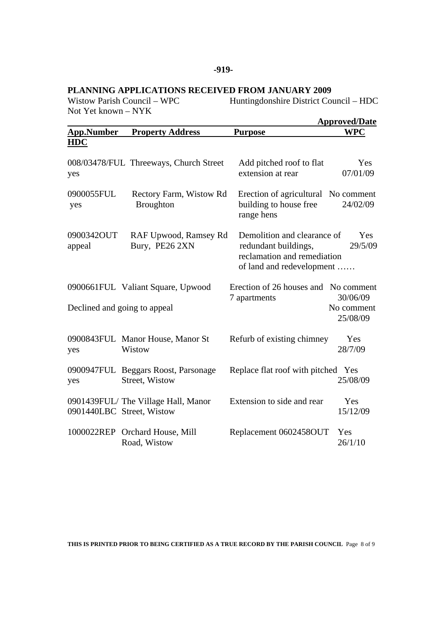# **PLANNING APPLICATIONS RECEIVED FROM JANUARY 2009**

Not Yet known – NYK

Huntingdonshire District Council – HDC

|                      |                                                                   |                                                                                                                 | <b>Approved/Date</b>               |
|----------------------|-------------------------------------------------------------------|-----------------------------------------------------------------------------------------------------------------|------------------------------------|
| <b>App.Number</b>    | <b>Property Address</b>                                           | <b>Purpose</b>                                                                                                  | <b>WPC</b>                         |
| <b>HDC</b>           |                                                                   |                                                                                                                 |                                    |
| yes                  | 008/03478/FUL Threeways, Church Street                            | Add pitched roof to flat<br>extension at rear                                                                   | Yes<br>07/01/09                    |
| 0900055FUL<br>yes    | Rectory Farm, Wistow Rd<br><b>Broughton</b>                       | Erection of agricultural No comment<br>building to house free<br>range hens                                     | 24/02/09                           |
| 0900342OUT<br>appeal | RAF Upwood, Ramsey Rd<br>Bury, PE26 2XN                           | Demolition and clearance of<br>redundant buildings,<br>reclamation and remediation<br>of land and redevelopment | Yes<br>29/5/09                     |
|                      | 0900661FUL Valiant Square, Upwood<br>Declined and going to appeal | Erection of 26 houses and No comment<br>7 apartments                                                            | 30/06/09<br>No comment<br>25/08/09 |
| yes                  | 0900843FUL Manor House, Manor St<br>Wistow                        | Refurb of existing chimney                                                                                      | Yes<br>28/7/09                     |
| yes                  | 0900947FUL Beggars Roost, Parsonage<br>Street, Wistow             | Replace flat roof with pitched Yes                                                                              | 25/08/09                           |
|                      | 0901439FUL/The Village Hall, Manor<br>0901440LBC Street, Wistow   | Extension to side and rear                                                                                      | Yes<br>15/12/09                    |
|                      | 1000022REP Orchard House, Mill<br>Road, Wistow                    | Replacement 0602458OUT                                                                                          | Yes<br>26/1/10                     |

**THIS IS PRINTED PRIOR TO BEING CERTIFIED AS A TRUE RECORD BY THE PARISH COUNCIL** Page 8 of 9